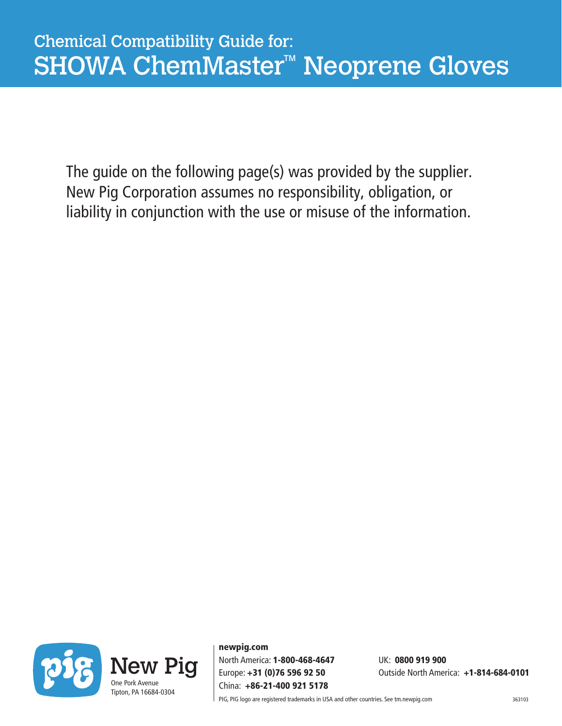The guide on the following page(s) was provided by the supplier. New Pig Corporation assumes no responsibility, obligation, or liability in conjunction with the use or misuse of the information.



newpig.com North America: 1-800-468-4647 UK: 0800 919 900 China: +86-21-400 921 5178

Europe: +31 (0)76 596 92 50 Outside North America: +1-814-684-0101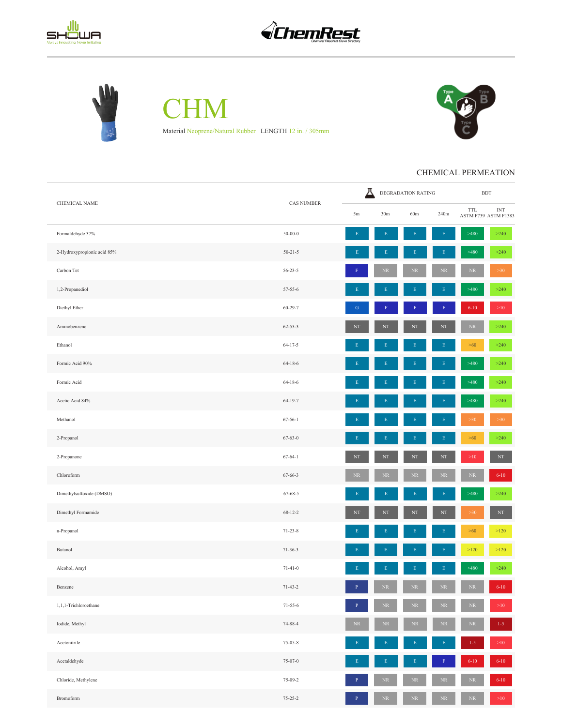





**CHM** Material Neoprene/Natural Rubber LENGTH 12 in. / 305mm



## CHEMICAL PERMEATION

| CHEMICAL NAME               | <b>CAS NUMBER</b> | д            | DEGRADATION RATING |             | $\operatorname{BDT}$ |            |                                                   |
|-----------------------------|-------------------|--------------|--------------------|-------------|----------------------|------------|---------------------------------------------------|
|                             |                   | 5m           | 30 <sub>m</sub>    | 60m         | 240m                 | TTL        | $\ensuremath{\text{INT}}$<br>ASTM F739 ASTM F1383 |
| Formaldehyde 37%            | $50 - 00 - 0$     | $\mathbf E$  | $\mathbf E$        | E           | $\mathbf E$          | >480       | $>240$                                            |
| 2-Hydroxypropionic acid 85% | $50 - 21 - 5$     | E            | E                  | E           | $\mathbf E$          | >480       | >240                                              |
| Carbon Tet                  | $56 - 23 - 5$     |              | $\rm NR$           | $\rm NR$    | $\rm NR$             | $\rm NR$   | $>30$                                             |
| 1,2-Propanediol             | $57 - 55 - 6$     |              |                    |             | E                    | >480       | $>240$                                            |
| Diethyl Ether               | $60 - 29 - 7$     | ${\bf G}$    | F                  |             | ${\bf F}$            | $6 - 10$   | $>10$                                             |
| Aminobenzene                | $62 - 53 - 3$     | $_{\rm NT}$  | NT                 | NT          | NT                   | ${\rm NR}$ | $>240$                                            |
| Ethanol                     | $64 - 17 - 5$     | Е            | Е                  | E           | $\mathbf E$          | $>60$      | $>240$                                            |
| Formic Acid 90%             | $64 - 18 - 6$     | E            |                    |             | $\mathbf E$          | >480       | >240                                              |
| Formic Acid                 | $64 - 18 - 6$     | E            | E                  | E           | $\mathbf E$          | >480       | >240                                              |
| Acetic Acid 84%             | $64-19-7$         |              |                    |             | $\mathbf E$          | >480       | >240                                              |
| Methanol                    | $67 - 56 - 1$     | E            | E                  |             | E                    | $>30$      | >30                                               |
| 2-Propanol                  | $67 - 63 - 0$     | E            | E                  |             | $\mathbf E$          | $>60$      | >240                                              |
| 2-Propanone                 | $67 - 64 - 1$     | $\rm{NT}$    | $_{\rm NT}$        | $_{\rm NT}$ | $\rm{NT}$            | $>\!\!10$  | $_{\rm NT}$                                       |
| Chloroform                  | $67 - 66 - 3$     | $\rm NR$     | NR                 | NR          | NR                   | ${\rm NR}$ | $6 - 10$                                          |
| Dimethylsulfoxide (DMSO)    | $67 - 68 - 5$     | $\mathbf E$  | E                  | E           | $\mathbf E$          | >480       | >240                                              |
| Dimethyl Formamide          | $68 - 12 - 2$     | $\rm{NT}$    | NT                 | $\rm{NT}$   | $\rm{NT}$            | $>30$      | $_{\rm NT}$                                       |
| n-Propanol                  | $71 - 23 - 8$     | E            | E                  | E           | $\mathbf E$          | $>60$      | $>120$                                            |
| Butanol                     | $71-36-3$         | Ε            | E                  | E           | $\mathbf E$          | $>120$     | $>120$                                            |
| Alcohol, Amyl               | $71-41-0$         | $\mathbf E$  | $\mathbf E$        | E           | $\mathbf E$          | >480       | >240                                              |
| Benzene                     | $71-43-2$         | $\mathbf P$  | $\rm NR$           | $\rm NR$    | $\rm NR$             | $\rm NR$   | $6 - 10$                                          |
| 1,1,1-Trichloroethane       | $71 - 55 - 6$     | $\mathbf{P}$ | $\rm NR$           | $\rm NR$    | $\rm NR$             | $\rm NR$   | $>10$                                             |
| Iodide, Methyl              | 74-88-4           | $\rm NR$     | NR                 | $\rm NR$    | <b>NR</b>            | NR         | $1-5$                                             |
| Acetonitrile                | $75 - 05 - 8$     | Ε            | $\mathbf E$        | Ε           | $\mathbf E$          | $1 - 5$    | $>10$                                             |
| Acetaldehyde                | $75-07-0$         | $\mathbf E$  | $\mathbf E$        | E           | F                    | $6 - 10$   | $6 - 10$                                          |
| Chloride, Methylene         | 75-09-2           |              | $\rm NR$           | $\rm NR$    | $\rm NR$             | $\rm NR$   | $6 - 10$                                          |
| Bromoform                   | $75 - 25 - 2$     | $\, {\bf P}$ | $\rm NR$           | $\rm NR$    | $\rm NR$             | $\rm NR$   | $>10$                                             |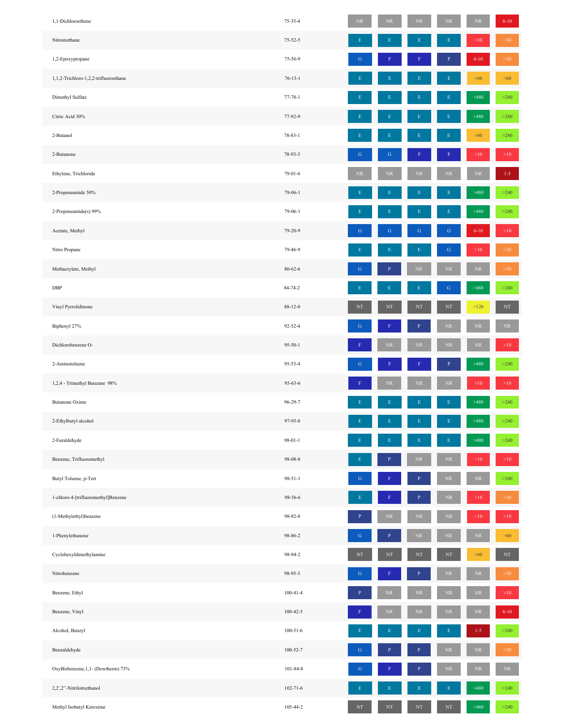| 1,1-Dichloroethene                    | 75-35-4        | $\rm NR$    | $\rm NR$    | $\rm NR$       | $\rm NR$       | $\rm NR$   | $6 - 10$  |
|---------------------------------------|----------------|-------------|-------------|----------------|----------------|------------|-----------|
| Nitromethane                          | $75 - 52 - 5$  | E           |             |                | E              | $>10$      | $>30$     |
| 1,2-Epoxypropane                      | 75-56-9        | G           |             |                | p              | $6 - 10$   | >30       |
| 1,1,2-Trichloro-1,2,2-trifluoroethane | $76 - 13 - 1$  |             |             |                |                | $>60$      | $>60$     |
| Dimethyl Sulfate                      | $77 - 78 - 1$  | F           |             | F              | $\mathbf E$    | >480       | >240      |
| Citric Acid 30%                       | 77-92-9        | F           |             |                | E              | >480       | >240      |
| 2-Butanol                             | 78-83-1        | Е           |             | Е              | $\mathbf E$    | $>60$      | >240      |
| 2-Butanone                            | 78-93-3        | ${\bf G}$   | G           |                |                | $>10$      | >10       |
| Ethylene, Trichloride                 | 79-01-6        | NR          | NR          | $\rm NR$       | ${\rm NR}$     | $\rm NR$   | $1 - 5$   |
| 2-Propeneamide 50%                    | 79-06-1        | E           |             |                |                | >480       | $>240$    |
| 2-Propeneamide(s) 99%                 | $79-06-1$      |             |             |                | E              | >480       | >240      |
| Acetate, Methyl                       | 79-20-9        | ${\bf G}$   | G           | ${\bf G}$      | ${\bf G}$      | $6 - 10$   | >10       |
| Nitro Propane                         | 79-46-9        |             |             | E              | ${\bf G}$      | $>\!\!10$  | $>30$     |
| Methacrylate, Methyl                  | $80 - 62 - 6$  | G           | P           | $\rm NR$       | $\rm NR$       | $\rm NR$   | $>30$     |
| DBP                                   | 84-74-2        | E           | Ε           | E              | ${\bf G}$      | >480       | >240      |
| Vinyl Pyrrolidinone                   | 88-12-0        | NT          | NT          | $_{\rm NT}$    | $_{\rm NT}$    | $>120$     | $\rm{NT}$ |
| Biphenyl 27%                          | 92-52-4        | G           |             | $\, {\bf P}$   | $\rm NR$       | $\rm NR$   | $\rm NR$  |
| Dichlorobenzene O-                    | $95 - 50 - 1$  |             | $\rm NR$    | $\rm NR$       | $\rm NR$       | $\rm NR$   | >10       |
| 2-Aminotoluene                        | 95-53-4        | G           |             |                | $\overline{P}$ | >480       | >240      |
| 1,2,4 - Trimethyl Benzene 98%         | 95-63-6        |             | NR          | $\rm NR$       | $\rm NR$       | $>\!\!10$  | $>10$     |
| <b>Butanone Oxime</b>                 | 96-29-7        | E           |             | E              | $\mathbf E$    | >480       | >240      |
| 2-Ethylbutyl alcohol                  | 97-95-0        | $\mathbf E$ | $\mathbf E$ | $\mathbf E$    | E              | >480       | >240      |
| 2-Furaldehyde                         | $98 - 01 - 1$  | E           |             | E              | $\mathbf{E}$   | >480       | >240      |
| Benzene, Trifluoromethyl              | $98 - 08 - 8$  |             |             | ${\rm NR}$     | $\rm NR$       | $>10$      | >10       |
| Butyl Toluene, p-Tert                 | $98 - 51 - 1$  | G           |             |                | $\rm NR$       | ${\rm NR}$ | >240      |
| 1-chloro-4-[trifluoromethyl]Benzene   | 98-56-6        |             |             | $\overline{P}$ | $\rm NR$       | $>10$      | >30       |
| (1-Methylethyl)benzene                | 98-82-8        | F           | $\rm NR$    | $\rm NR$       | $\rm NR$       | $>10$      | >10       |
| 1-Phenylethanone                      | 98-86-2        | $\mathbf G$ | P           | ${\rm NR}$     | $\rm NR$       | $\rm NR$   | $>60$     |
| Cyclohexyldimethylamine               | 98-94-2        | $_{\rm NT}$ | $\rm{NT}$   | $_{\rm NT}$    | $_{\rm NT}$    | $>60$      | $\rm{NT}$ |
| Nitrobenzene                          | 98-95-3        | ${\bf G}$   |             | ${\bf P}$      | $\rm NR$       | $\rm NR$   | $>30$     |
| Benzene, Ethyl                        | $100 - 41 - 4$ | P           | $\rm NR$    | $\rm NR$       | $\rm NR$       | $\rm NR$   | >10       |
| Benzene, Vinyl                        | $100 - 42 - 5$ |             | $\rm NR$    | $\rm NR$       | $\rm NR$       | $\rm NR$   | $6 - 10$  |
| Alcohol, Benzyl                       | $100 - 51 - 6$ | F           |             | E              | $\mathbf E$    | $1 - 5$    | >240      |
| Benzaldehyde                          | $100 - 52 - 7$ | ${\bf G}$   |             | $\, {\bf P}$   | $\rm NR$       | $\rm NR$   | $>30$     |
| OxyBisbenzene, 1, 1- (Dowtherm) 73%   | $101 - 84 - 8$ | $\mathbf G$ |             | $\mathbf{P}$   | $\rm NR$       | $\rm NR$   | $\rm NR$  |
| 2,2',2"-Nitrilotriethanol             | $102 - 71 - 6$ | F           |             |                | $\mathbf E$    | >480       | $>240$    |
| Methyl Isobutyl Ketoxime              | 105-44-2       | NT          | $_{\rm NT}$ | $\rm{NT}$      | $_{\rm NT}$    | >480       | $>240$    |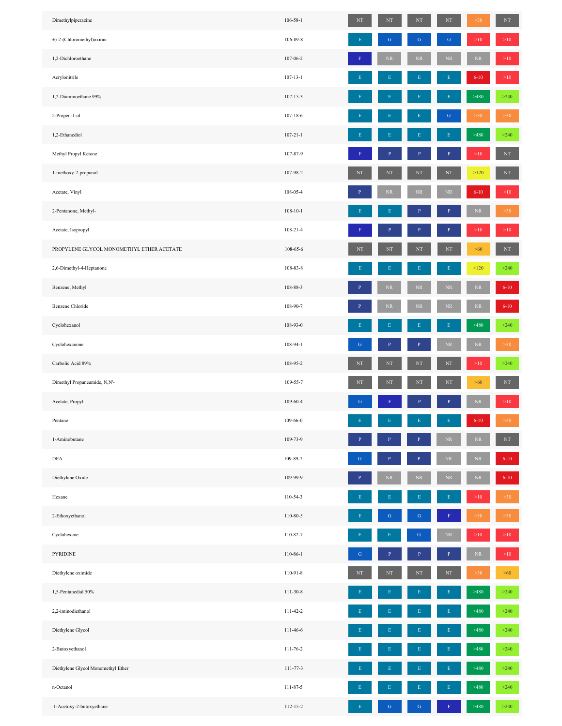| Dimethylpiperazine                        | $106 - 58 - 1$ | $\rm{NT}$   | NT           | $_{\rm NT}$  | $\rm{NT}$    | >30       | $\rm{NT}$ |
|-------------------------------------------|----------------|-------------|--------------|--------------|--------------|-----------|-----------|
| ±)-2-(Chloromethyl)oxiran                 | 106-89-8       |             | ${\bf G}$    | $\mathbf G$  | $\mathbf G$  | $>\!\!10$ | >10       |
| 1,2-Dichloroethane                        | 107-06-2       |             | $\rm NR$     | $\rm NR$     | $\rm NR$     | $\rm NR$  | >10       |
| Acrylonitrile                             | $107 - 13 - 1$ |             | Ε            | E            | Е            | $6 - 10$  | $>10$     |
| 1,2-Diaminoethane 99%                     | $107 - 15 - 3$ |             |              | E            | Е            | >480      | $>240$    |
| 2-Propen-1-ol                             | $107 - 18 - 6$ |             | Ε            | E            | ${\bf G}$    | >30       | >30       |
| 1,2-Ethanediol                            | $107 - 21 - 1$ |             | E            | E            | E            | >480      | >240      |
| Methyl Propyl Ketone                      | 107-87-9       |             |              | $\, {\bf p}$ | $\mathbf{P}$ | $>10$     | $\rm{NT}$ |
| 1-methoxy-2-propanol                      | 107-98-2       | NT          | NT           | $_{\rm NT}$  | NT           | >120      | $\rm{NT}$ |
| Acetate, Vinyl                            | 108-05-4       |             | $\rm NR$     | $\rm NR$     | ${\rm NR}$   | $6 - 10$  | $>10$     |
| 2-Pentanone, Methyl-                      | $108 - 10 - 1$ |             | F            | P            | P            | $\rm NR$  | >30       |
| Acetate, Isopropyl                        | $108 - 21 - 4$ |             | P            | $\mathbf{P}$ | P            | $>10$     | $>10$     |
| PROPYLENE GLYCOL MONOMETHYL ETHER ACETATE | 108-65-6       | $\rm{NT}$   | NT           | $_{\rm NT}$  | NT           | >60       | $\rm{NT}$ |
| 2,6-Dimethyl-4-Heptanone                  | 108-83-8       | н           | $\mathbf E$  | $\mathbf E$  | Ε            | $>120$    | $>240$    |
| Benzene, Methyl                           | 108-88-3       |             | $\rm NR$     | $\rm NR$     | $\rm NR$     | $\rm NR$  | $6 - 10$  |
| Benzene Chloride                          | 108-90-7       |             | $\rm NR$     | $\rm NR$     | $\rm NR$     | $\rm NR$  | $6 - 10$  |
| Cyclohexanol                              | 108-93-0       |             |              | E            | E            | >480      | $>240$    |
| Cyclohexanone                             | 108-94-1       | G           | $\mathbf{P}$ | $\, {\bf P}$ | $\rm NR$     | $\rm NR$  | >30       |
| Carbolic Acid 89%                         | 108-95-2       | $_{\rm NT}$ | $\rm{NT}$    | $_{\rm NT}$  | $_{\rm NT}$  | $>10$     | $>240$    |
| Dimethyl Propaneamide, N,N'-              | 109-55-7       | $\rm{NT}$   | $\rm{NT}$    | $\rm{NT}$    | $\rm{NT}$    | $>60$     | $\rm{NT}$ |
| Acetate, Propyl                           | 109-60-4       | G           |              | P            |              | $\rm NR$  | $>10$     |
| Pentane                                   | 109-66-0       |             |              |              |              | $6 - 10$  | >30       |
| 1-Aminobutane                             | 109-73-9       |             |              | ${\bf P}$    | $\rm NR$     | $\rm NR$  | $\rm{NT}$ |
| DEA                                       | 109-89-7       | G           | $\mathbf{P}$ | $\, {\bf P}$ | $\rm NR$     | $\rm NR$  | $6 - 10$  |
| Diethylene Oxide                          | 109-99-9       |             | $\rm NR$     | $\rm NR$     | $\rm NR$     | $\rm NR$  | $6 - 10$  |
| Hexane                                    | 110-54-3       |             | E            | E            | E            | $>10$     | >30       |
| 2-Ethoxyethanol                           | 110-80-5       |             | ${\bf G}$    | ${\bf G}$    |              | >30       | >30       |
| Cyclohexane                               | 110-82-7       |             | $\mathbf E$  | ${\bf G}$    | ${\rm NR}$   | >10       | >10       |
| PYRIDINE                                  | 110-86-1       | G           |              | P            |              | $\rm NR$  | $>10$     |
| Diethylene oximide                        | 110-91-8       | NT          | NT           | $_{\rm NT}$  | NT           | >30       | >60       |
| 1,5-Pentanedial 50%                       | 111-30-8       |             | E            | Ε            | Е            | >480      | $>240$    |
| 2,2-iminodiethanol                        | 111-42-2       |             | $\mathbf E$  | $\mathbf E$  | Е            | >480      | $>240$    |
| Diethylene Glycol                         | 111-46-6       |             |              |              | E            | >480      | >240      |
| 2-Butoxyethanol                           | $111 - 76 - 2$ |             | F            | E            | E            | >480      | $>240$    |
| Diethylene Glycol Monomethyl Ether        | 111-77-3       |             |              |              | E            | >480      | >240      |
| n-Octanol                                 | 111-87-5       |             | E            | E            | E            | >480      | $>240$    |
| 1-Acetoxy-2-butoxyethane                  | 112-15-2       |             | G            | G            |              | >480      | $>240$    |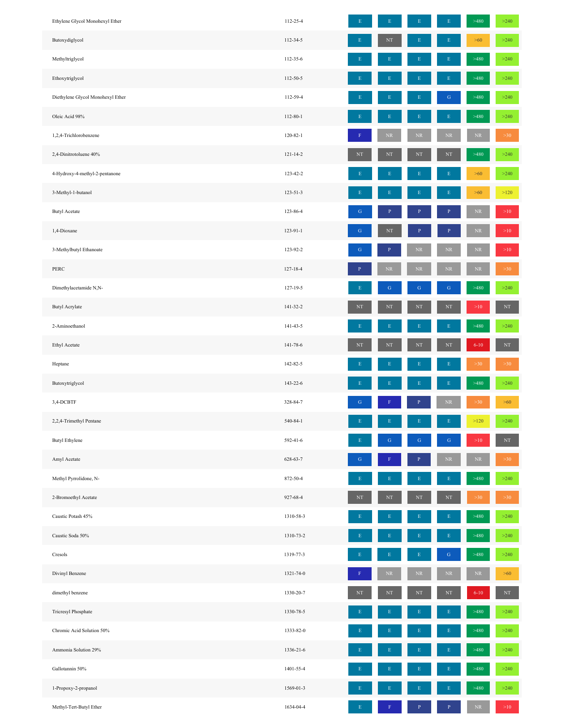| Ethylene Glycol Monohexyl Ether   | 112-25-4       | E           |              |              | E            | >480       | $>240$    |
|-----------------------------------|----------------|-------------|--------------|--------------|--------------|------------|-----------|
| Butoxydiglycol                    | 112-34-5       | E           | $\rm{NT}$    | Е            | $\mathbf E$  | $>60$      | $>240$    |
| Methyltriglycol                   | 112-35-6       | F           | E            | Е            | $\mathbf E$  | >480       | >240      |
| Ethoxytriglycol                   | 112-50-5       |             |              | E            | $\mathbf E$  | >480       | >240      |
| Diethylene Glycol Monohexyl Ether | 112-59-4       |             |              | E            | ${\bf G}$    | >480       | $>240$    |
| Oleic Acid 98%                    | 112-80-1       |             | E            | Е            | $\mathbf E$  | >480       | $>240$    |
| 1,2,4-Trichlorobenzene            | $120 - 82 - 1$ |             | NR           | $\rm NR$     | $\rm NR$     | $\rm NR$   | $>30$     |
| 2,4-Dinitrotoluene 40%            | $121 - 14 - 2$ | NT          | NT           | $\rm{NT}$    | NT           | >480       | $>240$    |
| 4-Hydroxy-4-methyl-2-pentanone    | 123-42-2       | E           |              | E            | E            | $>60$      | >240      |
| 3-Methyl-1-butanol                | 123-51-3       |             |              |              | E            | >60        | $>120$    |
| <b>Butyl Acetate</b>              | 123-86-4       | G           | P            | $\mathbf{P}$ | $\mathbf{P}$ | $\rm NR$   | >10       |
| 1,4-Dioxane                       | 123-91-1       | G           | NT           |              |              | $\rm NR$   | >10       |
| 3-Methylbutyl Ethanoate           | 123-92-2       | G           | $\mathbf{P}$ | $\rm NR$     | $\rm NR$     | ${\rm NR}$ | >10       |
| PERC                              | $127 - 18 - 4$ |             | NR.          | ${\rm NR}$   | ${\rm NR}$   | $\rm NR$   | $>30$     |
| Dimethylacetamide N,N-            | 127-19-5       |             | G            | $\mathcal G$ | ${\bf G}$    | >480       | >240      |
| <b>Butyl Acrylate</b>             | 141-32-2       | NT          | NT           | $_{\rm NT}$  | NT           | $>10$      | $\rm{NT}$ |
| 2-Aminoethanol                    | 141-43-5       | Е           | Ε            | E            | $\mathbf E$  | >480       | >240      |
| Ethyl Acetate                     | 141-78-6       | $_{\rm NT}$ | $\rm{NT}$    | $\rm{NT}$    | $\rm{NT}$    | $6 - 10$   | $\rm{NT}$ |
| Heptane                           | 142-82-5       |             |              | Ε            | $\mathbf E$  | $>30$      | $>30$     |
| Butoxytriglycol                   | 143-22-6       | E           |              | E            | $\mathbf E$  | >480       | >240      |
| 3,4-DCBTF                         | 328-84-7       | G           |              | P            | $\rm NR$     | >30        | $>60$     |
| 2,2,4-Trimethyl Pentane           | 540-84-1       | E           | E            | E            | $\mathbf E$  | $>120$     | $>240$    |
| <b>Butyl Ethylene</b>             | 592-41-6       |             | G            | G            | ${\bf G}$    | >10        | $\rm{NT}$ |
| Amyl Acetate                      | 628-63-7       | G           |              | P            | ${\rm NR}$   | $\rm NR$   | >30       |
| Methyl Pyrrolidone, N-            | 872-50-4       | F           |              |              | $\mathbf E$  | >480       | $>240$    |
| 2-Bromoethyl Acetate              | 927-68-4       | NT          | $\rm{NT}$    | $\rm{NT}$    | NT           | $>30$      | >30       |
| Caustic Potash 45%                | 1310-58-3      | F           |              |              | $\mathbf E$  | >480       | $>240$    |
| Caustic Soda 50%                  | 1310-73-2      |             |              |              | E            | >480       | >240      |
| Cresols                           | 1319-77-3      |             |              |              | ${\bf G}$    | >480       | $>240$    |
| Divinyl Benzene                   | 1321-74-0      |             | NR.          | $\rm NR$     | $\rm NR$     | $\rm NR$   | $>60$     |
| dimethyl benzene                  | 1330-20-7      | $_{\rm NT}$ | $\rm{NT}$    | $\rm{NT}$    | $\rm{NT}$    | $6 - 10$   | $\rm{NT}$ |
| Tricresyl Phosphate               | 1330-78-5      |             |              |              | Е            | >480       | >240      |
| Chromic Acid Solution 50%         | 1333-82-0      |             |              |              | E            | >480       | $>240$    |
| Ammonia Solution 29%              | 1336-21-6      |             |              |              | E            | >480       | $>240$    |
| Gallotannin 50%                   | 1401-55-4      | F           |              | Ε            | $\mathbf E$  | >480       | $>240$    |
| 1-Propoxy-2-propanol              | 1569-01-3      |             |              |              |              | >480       | >240      |
| Methyl-Tert-Butyl Ether           | 1634-04-4      | E           |              | P            | $\mathbf{P}$ | $\rm NR$   | >10       |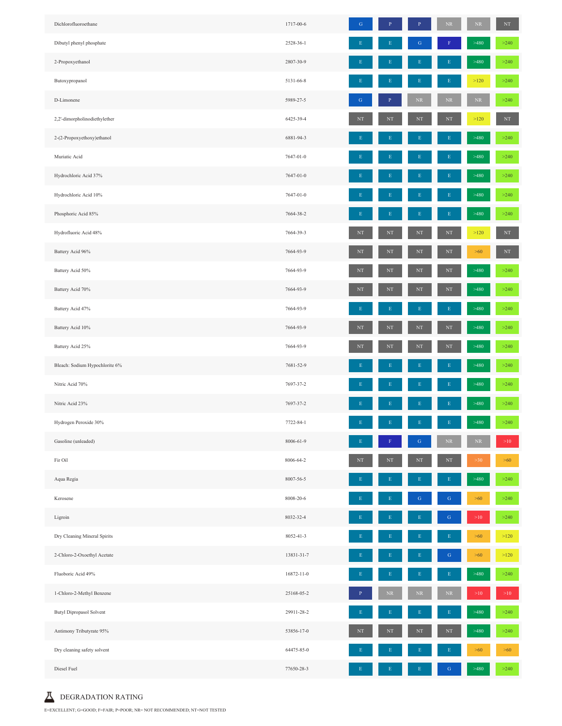| Dichlorofluoroethane            | 1717-00-6        | ${\bf G}$       | $\, {\bf P}$ | $\, {\bf P}$ | $\rm NR$    | $\rm NR$ | $_{\rm NT}$ |
|---------------------------------|------------------|-----------------|--------------|--------------|-------------|----------|-------------|
| Dibutyl phenyl phosphate        | 2528-36-1        | $\mathbf E$     |              | G            |             | >480     | $>240$      |
| 2-Propoxyethanol                | 2807-30-9        |                 |              |              |             | >480     | $>240$      |
| Butoxypropanol                  | 5131-66-8        | Ε               | Е            |              | E           | $>120$   | $>240$      |
| D-Limonene                      | 5989-27-5        | ${\bf G}$       | $\mathbf{P}$ | ${\sf NR}$   | $\rm NR$    | $\rm NR$ | >240        |
| 2,2'-dimorpholinodiethylether   | 6425-39-4        | $\rm{NT}$       | NT           | NT           | $\rm{NT}$   | $>120$   | $\rm{NT}$   |
| 2-(2-Propoxyethoxy)ethanol      | 6881-94-3        | Е               |              |              |             | >480     | $>240$      |
| Muriatic Acid                   | 7647-01-0        | Ε               |              |              | E           | >480     | $>240$      |
| Hydrochloric Acid 37%           | 7647-01-0        |                 |              |              | E           | >480     | $>240$      |
| Hydrochloric Acid 10%           | 7647-01-0        | E               | Ε            |              | Е           | >480     | $>240$      |
| Phosphoric Acid 85%             | 7664-38-2        | $\mathbf E$     | E            | E            | E           | >480     | $>240$      |
| Hydrofluoric Acid 48%           | 7664-39-3        | $_{\rm NT}$     | $\rm{NT}$    | NT           | $_{\rm NT}$ | $>120$   | $\rm{NT}$   |
| Battery Acid 96%                | 7664-93-9        | $_{\rm NT}$     | $\rm{NT}$    | $_{\rm NT}$  | $_{\rm NT}$ | $>60$    | $\rm{NT}$   |
| Battery Acid 50%                | 7664-93-9        | $_{\rm NT}$     | $_{\rm NT}$  | NT           | $\rm{NT}$   | >480     | $>240$      |
| Battery Acid 70%                | 7664-93-9        | $_{\rm NT}$     | NT           | NT           | $\rm{NT}$   | >480     | $>240$      |
| Battery Acid 47%                | 7664-93-9        | $E_{\parallel}$ | $\mathbf E$  | E            | $\mathbf E$ | >480     | $>240$      |
| Battery Acid 10%                | 7664-93-9        | $_{\rm NT}$     | $_{\rm NT}$  | NT           | $\rm{NT}$   | >480     | $>240$      |
| Battery Acid 25%                | 7664-93-9        | $_{\rm NT}$     | NT           | NT           | $\rm{NT}$   | >480     | $>240$      |
| Bleach: Sodium Hypochlorite 6%  | 7681-52-9        | Е               | Ε            |              | E           | >480     | $>240$      |
| Nitric Acid 70%                 | 7697-37-2        | $\mathbf E$     | E            | E            | E           | >480     | $>240$      |
| Nitric Acid 23%                 | 7697-37-2        | Е               |              |              | Е           | >480     | $>240$      |
| Hydrogen Peroxide 30%           | 7722-84-1        | $\mathbf E$     |              |              | E           | >480     | $>240$      |
| Gasoline (unleaded)             | 8006-61-9        | E               |              | ${\bf G}$    | $\rm NR$    | $\rm NR$ | $>10$       |
| Fir Oil                         | 8006-64-2        | $_{\rm NT}$     | NT           | $_{\rm NT}$  | $\rm{NT}$   | $>30$    | $>60$       |
| Aqua Regia                      | 8007-56-5        | E               | $\mathbf E$  | E            | E           | >480     | $>240$      |
| Kerosene                        | 8008-20-6        | Е               | Ε            | ${\bf G}$    | ${\bf G}$   | $>60$    | $>240$      |
| Ligroin                         | 8032-32-4        | Е               |              |              | G           | $>10$    | $>240$      |
| Dry Cleaning Mineral Spirits    | 8052-41-3        | Ε               | Ε            |              | Е           | $>60$    | $>120$      |
| 2-Chloro-2-Oxoethyl Acetate     | 13831-31-7       | Ε               | E            |              | ${\bf G}$   | $>60$    | $>120$      |
| Fluoboric Acid 49%              | $16872 - 11 - 0$ | Е               | Ε            | E            | Е           | >480     | $>240$      |
| 1-Chloro-2-Methyl Benzene       | 25168-05-2       | $\, {\bf P}$    | $\rm NR$     | $\rm NR$     | $\rm NR$    | $>10$    | $>10$       |
| <b>Butyl Dipropasol Solvent</b> | 29911-28-2       | $\mathbf E$     | $\mathbf E$  | $\mathbf E$  | E           | >480     | $>240$      |
| Antimony Tributyrate 95%        | 53856-17-0       | $_{\rm NT}$     | $\rm{NT}$    | NT           | $_{\rm NT}$ | >480     | $>240$      |
| Dry cleaning safety solvent     | 64475-85-0       | F               |              |              |             | $> 60$   | >60         |
| Diesel Fuel                     | 77650-28-3       | E               | $\mathbf E$  | E            | ${\bf G}$   | >480     | $>240$      |

 $\blacksquare$ DEGRADATION RATING

E=EXCELLENT; G=GOOD; F=FAIR; P=POOR; NR= NOT RECOMMENDED; NT=NOT TESTED